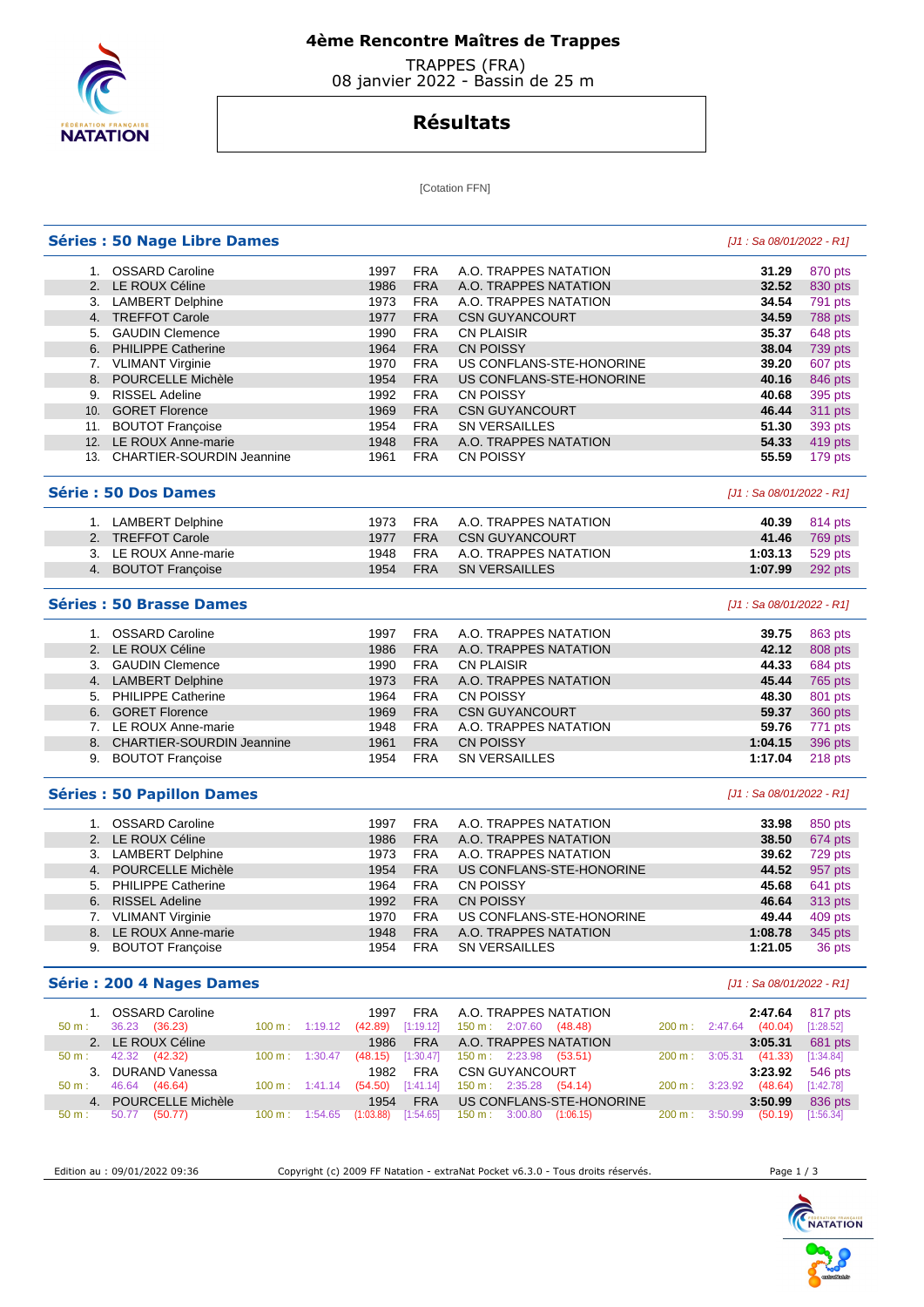

## **4ème Rencontre Maîtres de Trappes**

 TRAPPES (FRA) 08 janvier 2022 - Bassin de 25 m

# **Résultats**

[Cotation FFN]

|          | <b>Séries : 50 Nage Libre Dames</b> |                                    |                     |            |                                                                                 |        | [J1 : Sa 08/01/2022 - R1]         |                        |
|----------|-------------------------------------|------------------------------------|---------------------|------------|---------------------------------------------------------------------------------|--------|-----------------------------------|------------------------|
|          | 1. OSSARD Caroline                  |                                    | 1997                | <b>FRA</b> | A.O. TRAPPES NATATION                                                           |        | 31.29                             | 870 pts                |
|          | 2. LE ROUX Céline                   |                                    | 1986                | <b>FRA</b> | A.O. TRAPPES NATATION                                                           |        | 32.52                             | 830 pts                |
|          | 3. LAMBERT Delphine                 |                                    | 1973                | <b>FRA</b> | A.O. TRAPPES NATATION                                                           |        | 34.54                             | 791 pts                |
|          | 4. TREFFOT Carole                   |                                    | 1977                | <b>FRA</b> | <b>CSN GUYANCOURT</b>                                                           |        | 34.59                             | 788 pts                |
|          | 5. GAUDIN Clemence                  |                                    | 1990                | <b>FRA</b> | <b>CN PLAISIR</b>                                                               |        | 35.37                             | 648 pts                |
|          | 6. PHILIPPE Catherine               |                                    | 1964                | <b>FRA</b> | <b>CN POISSY</b>                                                                |        | 38.04                             | 739 pts                |
|          | 7. VLIMANT Virginie                 |                                    | 1970                | <b>FRA</b> | US CONFLANS-STE-HONORINE                                                        |        | 39.20                             | 607 pts                |
| 8.       | POURCELLE Michèle                   |                                    | 1954                | <b>FRA</b> | US CONFLANS-STE-HONORINE                                                        |        | 40.16                             | 846 pts                |
| 9.       | <b>RISSEL Adeline</b>               |                                    | 1992                | <b>FRA</b> | CN POISSY                                                                       |        | 40.68                             | 395 pts                |
|          | 10. GORET Florence                  |                                    |                     | <b>FRA</b> |                                                                                 |        |                                   |                        |
|          |                                     |                                    | 1969                |            | <b>CSN GUYANCOURT</b>                                                           |        | 46.44                             | 311 pts                |
|          | 11. BOUTOT Francoise                |                                    | 1954                | <b>FRA</b> | <b>SN VERSAILLES</b>                                                            |        | 51.30                             | 393 pts                |
|          | 12. LE ROUX Anne-marie              |                                    | 1948                | <b>FRA</b> | A.O. TRAPPES NATATION                                                           |        | 54.33                             | 419 pts                |
|          | 13. CHARTIER-SOURDIN Jeannine       |                                    | 1961                | <b>FRA</b> | <b>CN POISSY</b>                                                                |        | 55.59                             | 179 pts                |
|          | Série: 50 Dos Dames                 |                                    |                     |            |                                                                                 |        | [J1 : Sa 08/01/2022 - R1]         |                        |
|          | 1. LAMBERT Delphine                 |                                    | 1973                | <b>FRA</b> | A.O. TRAPPES NATATION                                                           |        | 40.39                             | 814 pts                |
|          | 2. TREFFOT Carole                   |                                    | 1977                | <b>FRA</b> | <b>CSN GUYANCOURT</b>                                                           |        | 41.46                             | 769 pts                |
|          | 3. LE ROUX Anne-marie               |                                    | 1948                | <b>FRA</b> | A.O. TRAPPES NATATION                                                           |        | 1:03.13                           | 529 pts                |
|          | 4. BOUTOT Françoise                 |                                    | 1954                | <b>FRA</b> | <b>SN VERSAILLES</b>                                                            |        | 1:07.99                           | 292 pts                |
|          | Séries: 50 Brasse Dames             |                                    |                     |            |                                                                                 |        | [J1 : Sa 08/01/2022 - R1]         |                        |
|          |                                     |                                    | 1997                | <b>FRA</b> |                                                                                 |        |                                   |                        |
|          | 1. OSSARD Caroline                  |                                    |                     |            | A.O. TRAPPES NATATION                                                           |        | 39.75<br>42.12                    | 863 pts                |
|          | 2. LE ROUX Céline                   |                                    | 1986                | <b>FRA</b> | A.O. TRAPPES NATATION                                                           |        |                                   | 808 pts                |
|          | 3. GAUDIN Clemence                  |                                    | 1990                | <b>FRA</b> | <b>CN PLAISIR</b>                                                               |        | 44.33                             | 684 pts                |
|          | 4. LAMBERT Delphine                 |                                    | 1973                | <b>FRA</b> | A.O. TRAPPES NATATION                                                           |        | 45.44                             | 765 pts                |
|          | 5. PHILIPPE Catherine               |                                    | 1964                | <b>FRA</b> | <b>CN POISSY</b>                                                                |        | 48.30                             | 801 pts                |
|          | 6. GORET Florence                   |                                    | 1969                | <b>FRA</b> | <b>CSN GUYANCOURT</b>                                                           |        | 59.37                             | 360 pts                |
|          | 7. LE ROUX Anne-marie               |                                    | 1948                | <b>FRA</b> | A.O. TRAPPES NATATION                                                           |        | 59.76                             | 771 pts                |
|          | 8. CHARTIER-SOURDIN Jeannine        |                                    | 1961                | <b>FRA</b> | <b>CN POISSY</b>                                                                |        | 1:04.15                           | 396 pts                |
| 9.       | <b>BOUTOT Françoise</b>             |                                    | 1954                | <b>FRA</b> | <b>SN VERSAILLES</b>                                                            |        | 1:17.04                           | 218 pts                |
|          | <b>Séries : 50 Papillon Dames</b>   |                                    |                     |            |                                                                                 |        | [J1 : Sa 08/01/2022 - R1]         |                        |
|          | 1. OSSARD Caroline                  |                                    | 1997                | <b>FRA</b> | A.O. TRAPPES NATATION                                                           |        | 33.98                             | 850 pts                |
|          | 2. LE ROUX Céline                   |                                    | 1986                | <b>FRA</b> | A.O. TRAPPES NATATION                                                           |        | 38.50                             | 674 pts                |
|          | 3. LAMBERT Delphine                 |                                    | 1973                | <b>FRA</b> | A.O. TRAPPES NATATION                                                           |        | 39.62                             | 729 pts                |
|          | 4. POURCELLE Michèle                |                                    | 1954                | <b>FRA</b> | US CONFLANS-STE-HONORINE                                                        |        | 44.52                             | 957 pts                |
| 5.       | <b>PHILIPPE Catherine</b>           |                                    | 1964                | <b>FRA</b> | <b>CN POISSY</b>                                                                |        | 45.68                             | 641 pts                |
| 6.       | <b>RISSEL Adeline</b>               |                                    | 1992                | <b>FRA</b> | <b>CN POISSY</b>                                                                |        | 46.64                             | 313 pts                |
|          | 7. VLIMANT Virginie                 |                                    | 1970                | <b>FRA</b> | US CONFLANS-STE-HONORINE                                                        |        | 49.44                             | 409 pts                |
|          | 8. LE ROUX Anne-marie               |                                    | 1948                | <b>FRA</b> | A.O. TRAPPES NATATION                                                           |        | 1:08.78                           | 345 pts                |
|          | 9. BOUTOT Francoise                 |                                    | 1954                | <b>FRA</b> | <b>SN VERSAILLES</b>                                                            |        | 1:21.05                           | 36 pts                 |
|          | Série: 200 4 Nages Dames            |                                    |                     |            |                                                                                 |        | $[J1: Sa 08/01/2022 - R1]$        |                        |
|          | 1. OSSARD Caroline                  |                                    |                     | <b>FRA</b> | A.O. TRAPPES NATATION                                                           |        |                                   |                        |
| 50 m:    | 36.23 (36.23)                       | 100 m: 1:19.12                     | 1997<br>(42.89)     | [1:19.12]  | 150 m: 2:07.60 (48.48)                                                          |        | 2:47.64<br>200 m: 2:47.64 (40.04) | 817 pts<br>[1:28.52]   |
|          | 2. LE ROUX Céline                   |                                    | 1986                | <b>FRA</b> | A.O. TRAPPES NATATION                                                           |        | 3:05.31                           |                        |
| $50 m$ : | 42.32<br>(42.32)                    | 100 m: 1:30.47                     | $(48.15)$ [1:30.47] |            | 150 m: 2:23.98<br>(53.51)                                                       |        | 200 m: 3:05.31<br>(41.33)         | 681 pts<br>[1:34.84]   |
|          | 3. DURAND Vanessa                   |                                    | 1982                | <b>FRA</b> | <b>CSN GUYANCOURT</b>                                                           |        | 3:23.92                           |                        |
| $50 m$ : | 46.64 (46.64)                       | 100 m: 1:41.14 (54.50) [1:41.14]   |                     |            | 150 m : 2:35.28 (54.14)                                                         | 200 m: | $3:23.92$ $(48.64)$               | 546 pts<br>$[1:42.78]$ |
|          | 4. POURCELLE Michèle                |                                    |                     |            | US CONFLANS-STE-HONORINE                                                        |        |                                   |                        |
| 50 m:    | 50.77 (50.77)                       | 100 m: 1:54.65 (1:03.88) [1:54.65] | 1954                | <b>FRA</b> | $150 \text{ m}: 3:00.80 (1:06.15)$                                              |        | 3:50.99<br>200 m: 3:50.99 (50.19) | 836 pts<br>[1:56.34]   |
|          |                                     |                                    |                     |            |                                                                                 |        |                                   |                        |
|          |                                     |                                    |                     |            |                                                                                 |        |                                   |                        |
|          | Edition au : 09/01/2022 09:36       |                                    |                     |            | Copyright (c) 2009 FF Natation - extraNat Pocket v6.3.0 - Tous droits réservés. |        | Page 1 / 3                        |                        |

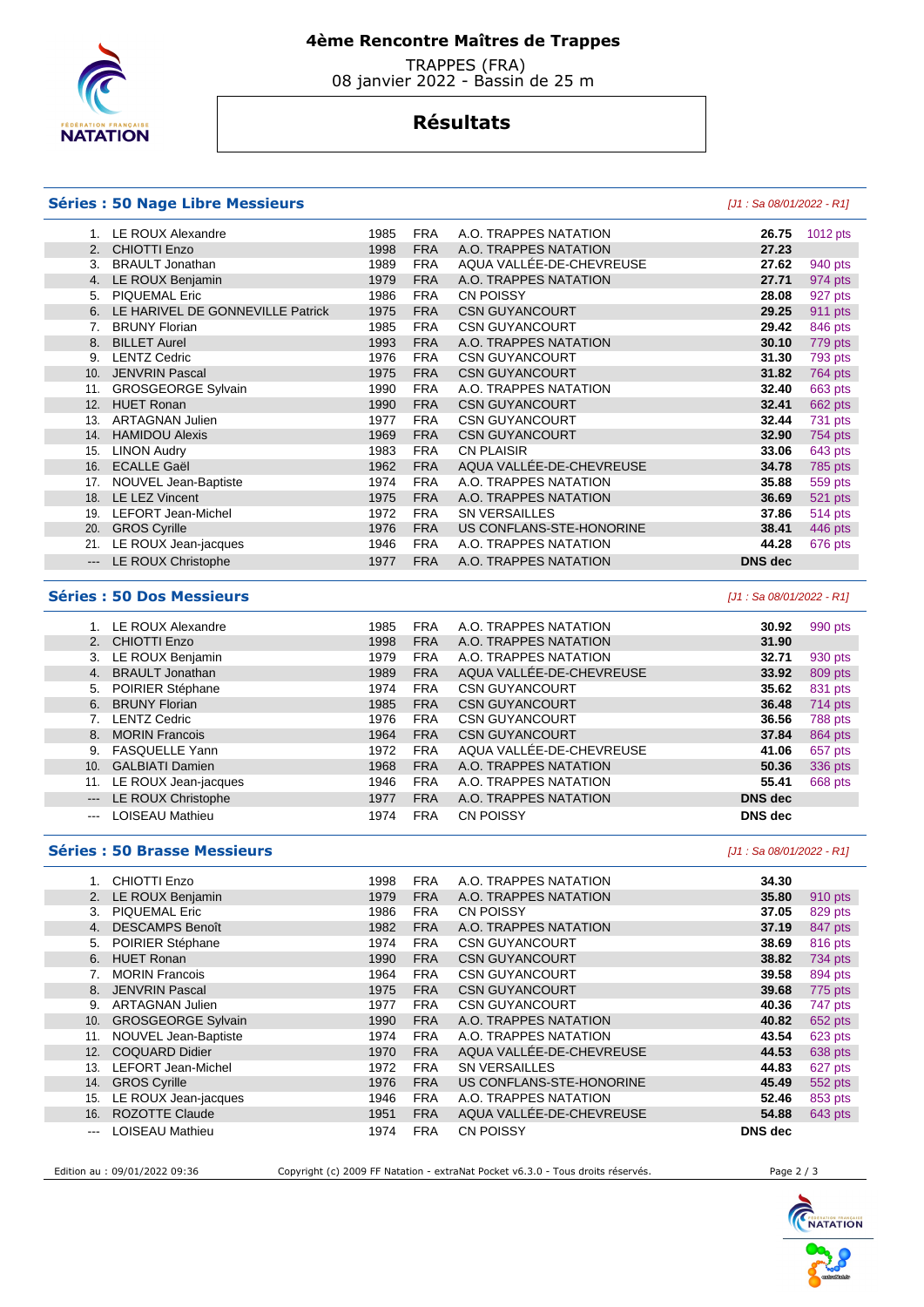

## **4ème Rencontre Maîtres de Trappes**

 TRAPPES (FRA) 08 janvier 2022 - Bassin de 25 m

# **Résultats**

### **Séries : 50 Nage Libre Messieurs** [J1 : Sa 08/01/2022 - R1]

|                     | 1. LE ROUX Alexandre                | 1985 | <b>FRA</b> | A.O. TRAPPES NATATION    | 26.75                     | 1012 pts |
|---------------------|-------------------------------------|------|------------|--------------------------|---------------------------|----------|
|                     | 2. CHIOTTI Enzo                     | 1998 | <b>FRA</b> | A.O. TRAPPES NATATION    | 27.23                     |          |
| 3.                  | <b>BRAULT Jonathan</b>              | 1989 | <b>FRA</b> | AQUA VALLÉE-DE-CHEVREUSE | 27.62                     | 940 pts  |
|                     | 4. LE ROUX Benjamin                 | 1979 | <b>FRA</b> | A.O. TRAPPES NATATION    | 27.71                     | 974 pts  |
|                     | 5. PIQUEMAL Eric                    | 1986 | <b>FRA</b> | <b>CN POISSY</b>         | 28.08                     | 927 pts  |
|                     | 6. LE HARIVEL DE GONNEVILLE Patrick | 1975 | <b>FRA</b> | <b>CSN GUYANCOURT</b>    | 29.25                     | 911 pts  |
|                     | 7. BRUNY Florian                    | 1985 | <b>FRA</b> | <b>CSN GUYANCOURT</b>    | 29.42                     | 846 pts  |
|                     | 8. BILLET Aurel                     | 1993 | <b>FRA</b> | A.O. TRAPPES NATATION    | 30.10                     | 779 pts  |
|                     | 9. LENTZ Cedric                     | 1976 | <b>FRA</b> | <b>CSN GUYANCOURT</b>    | 31.30                     | 793 pts  |
|                     | 10. JENVRIN Pascal                  | 1975 | <b>FRA</b> | <b>CSN GUYANCOURT</b>    | 31.82                     | 764 pts  |
|                     | 11. GROSGEORGE Sylvain              | 1990 | <b>FRA</b> | A.O. TRAPPES NATATION    | 32.40                     | 663 pts  |
|                     | 12. HUET Ronan                      | 1990 | <b>FRA</b> | <b>CSN GUYANCOURT</b>    | 32.41                     | 662 pts  |
|                     | 13. ARTAGNAN Julien                 | 1977 | <b>FRA</b> | <b>CSN GUYANCOURT</b>    | 32.44                     | 731 pts  |
|                     | 14. HAMIDOU Alexis                  | 1969 | <b>FRA</b> | <b>CSN GUYANCOURT</b>    | 32.90                     | 754 pts  |
| 15.                 | <b>LINON Audry</b>                  | 1983 | <b>FRA</b> | <b>CN PLAISIR</b>        | 33.06                     | 643 pts  |
| 16.                 | <b>ECALLE Gaël</b>                  | 1962 | <b>FRA</b> | AQUA VALLÉE-DE-CHEVREUSE | 34.78                     | 785 pts  |
|                     | 17. NOUVEL Jean-Baptiste            | 1974 | <b>FRA</b> | A.O. TRAPPES NATATION    | 35.88                     | 559 pts  |
|                     | 18. LE LEZ Vincent                  | 1975 | <b>FRA</b> | A.O. TRAPPES NATATION    | 36.69                     | 521 pts  |
| 19.                 | <b>LEFORT Jean-Michel</b>           | 1972 | <b>FRA</b> | <b>SN VERSAILLES</b>     | 37.86                     | 514 pts  |
| 20.                 | <b>GROS Cyrille</b>                 | 1976 | <b>FRA</b> | US CONFLANS-STE-HONORINE | 38.41                     | 446 pts  |
| 21.                 | LE ROUX Jean-jacques                | 1946 | <b>FRA</b> | A.O. TRAPPES NATATION    | 44.28                     | 676 pts  |
|                     | --- LE ROUX Christophe              | 1977 | <b>FRA</b> | A.O. TRAPPES NATATION    | <b>DNS</b> dec            |          |
|                     |                                     |      |            |                          |                           |          |
|                     | <b>Séries: 50 Dos Messieurs</b>     |      |            |                          | [J1 : Sa 08/01/2022 - R1] |          |
|                     | 1. LE ROUX Alexandre                | 1985 | <b>FRA</b> | A.O. TRAPPES NATATION    | 30.92                     | 990 pts  |
|                     | 2. CHIOTTI Enzo                     | 1998 | <b>FRA</b> | A.O. TRAPPES NATATION    | 31.90                     |          |
|                     | 3. LE ROUX Benjamin                 | 1979 | <b>FRA</b> | A.O. TRAPPES NATATION    | 32.71                     | 930 pts  |
|                     | 4. BRAULT Jonathan                  | 1989 | <b>FRA</b> | AQUA VALLÉE-DE-CHEVREUSE | 33.92                     | 809 pts  |
| 5.                  | POIRIER Stéphane                    | 1974 | <b>FRA</b> | <b>CSN GUYANCOURT</b>    | 35.62                     | 831 pts  |
|                     | 6. BRUNY Florian                    | 1985 | <b>FRA</b> | <b>CSN GUYANCOURT</b>    | 36.48                     | 714 pts  |
|                     | 7. LENTZ Cedric                     | 1976 | <b>FRA</b> | <b>CSN GUYANCOURT</b>    | 36.56                     | 788 pts  |
|                     | 8. MORIN Francois                   | 1964 | <b>FRA</b> | <b>CSN GUYANCOURT</b>    | 37.84                     | 864 pts  |
|                     | 9. FASQUELLE Yann                   | 1972 | <b>FRA</b> | AQUA VALLÉE-DE-CHEVREUSE | 41.06                     | 657 pts  |
|                     | 10. GALBIATI Damien                 | 1968 | <b>FRA</b> | A.O. TRAPPES NATATION    | 50.36                     | 336 pts  |
|                     | 11. LE ROUX Jean-jacques            | 1946 | <b>FRA</b> | A.O. TRAPPES NATATION    | 55.41                     | 668 pts  |
| $\qquad \qquad - -$ | LE ROUX Christophe                  | 1977 | <b>FRA</b> | A.O. TRAPPES NATATION    | <b>DNS</b> dec            |          |
| $\cdots$            | LOISEAU Mathieu                     | 1974 | <b>FRA</b> | <b>CN POISSY</b>         | <b>DNS</b> dec            |          |

### **Séries : 50 Brasse Messieurs** [J1 : Sa 08/01/2022 - R1]

|       | CHIOTTI Enzo              | 1998 | <b>FRA</b> | A.O. TRAPPES NATATION    | 34.30          |         |
|-------|---------------------------|------|------------|--------------------------|----------------|---------|
| 2.    | LE ROUX Benjamin          | 1979 | <b>FRA</b> | A.O. TRAPPES NATATION    | 35.80          | 910 pts |
| 3.    | <b>PIQUEMAL Eric</b>      | 1986 | <b>FRA</b> | <b>CN POISSY</b>         | 37.05          | 829 pts |
|       | <b>DESCAMPS Benoît</b>    | 1982 | <b>FRA</b> | A.O. TRAPPES NATATION    | 37.19          | 847 pts |
| 5.    | POIRIER Stéphane          | 1974 | <b>FRA</b> | <b>CSN GUYANCOURT</b>    | 38.69          | 816 pts |
|       | 6. HUET Ronan             | 1990 | <b>FRA</b> | <b>CSN GUYANCOURT</b>    | 38.82          | 734 pts |
|       | <b>MORIN Francois</b>     | 1964 | <b>FRA</b> | <b>CSN GUYANCOURT</b>    | 39.58          | 894 pts |
| 8.    | <b>JENVRIN Pascal</b>     | 1975 | <b>FRA</b> | <b>CSN GUYANCOURT</b>    | 39.68          | 775 pts |
| 9.    | ARTAGNAN Julien           | 1977 | <b>FRA</b> | <b>CSN GUYANCOURT</b>    | 40.36          | 747 pts |
| 10.   | <b>GROSGEORGE Sylvain</b> | 1990 | <b>FRA</b> | A.O. TRAPPES NATATION    | 40.82          | 652 pts |
| 11.   | NOUVEL Jean-Baptiste      | 1974 | <b>FRA</b> | A.O. TRAPPES NATATION    | 43.54          | 623 pts |
| 12.   | <b>COQUARD Didier</b>     | 1970 | <b>FRA</b> | AQUA VALLÉE-DE-CHEVREUSE | 44.53          | 638 pts |
| 13.   | <b>LEFORT Jean-Michel</b> | 1972 | <b>FRA</b> | SN VERSAILLES            | 44.83          | 627 pts |
| 14.   | <b>GROS Cyrille</b>       | 1976 | <b>FRA</b> | US CONFLANS-STE-HONORINE | 45.49          | 552 pts |
| 15.   | LE ROUX Jean-jacques      | 1946 | <b>FRA</b> | A.O. TRAPPES NATATION    | 52.46          | 853 pts |
| 16.   | <b>ROZOTTE Claude</b>     | 1951 | <b>FRA</b> | AQUA VALLÉE-DE-CHEVREUSE | 54.88          | 643 pts |
| $---$ | <b>LOISEAU Mathieu</b>    | 1974 | <b>FRA</b> | <b>CN POISSY</b>         | <b>DNS</b> dec |         |

Edition au : 09/01/2022 09:36 Copyright (c) 2009 FF Natation - extraNat Pocket v6.3.0 - Tous droits réservés. Page 2 / 3